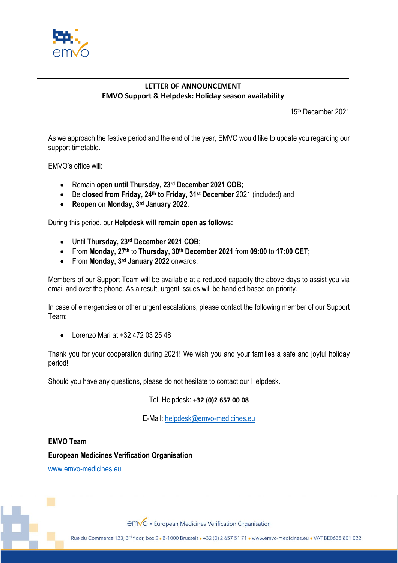

## **LETTER OF ANNOUNCEMENT EMVO Support & Helpdesk: Holiday season availability**

15th December 2021

As we approach the festive period and the end of the year, EMVO would like to update you regarding our support timetable.

EMVO's office will:

- Remain **open until Thursday, 23rd December 2021 COB;**
- Be **closed from Friday, 24th to Friday, 31st December** 2021 (included) and
- **Reopen** on **Monday, 3rd January 2022**.

During this period, our **Helpdesk will remain open as follows:**

- Until **Thursday, 23rd December 2021 COB;**
- From **Monday, 27th** to **Thursday, 30th December 2021** from **09:00** to **17:00 CET;**
- From **Monday, 3rd January 2022** onwards.

Members of our Support Team will be available at a reduced capacity the above days to assist you via email and over the phone. As a result, urgent issues will be handled based on priority.

In case of emergencies or other urgent escalations, please contact the following member of our Support Team:

• Lorenzo Mari at +32 472 03 25 48

Thank you for your cooperation during 2021! We wish you and your families a safe and joyful holiday period!

Should you have any questions, please do not hesitate to contact our Helpdesk.

Tel. Helpdesk: **+32 (0)2 657 00 08**

E-Mail: [helpdesk@emvo-medicines.eu](mailto:helpdesk@emvo-medicines.eu)

**EMVO Team European Medicines Verification Organisation**

[www.emvo-medicines.eu](http://www.emvo-medicines.eu/)

emvo · European Medicines Verification Organisation